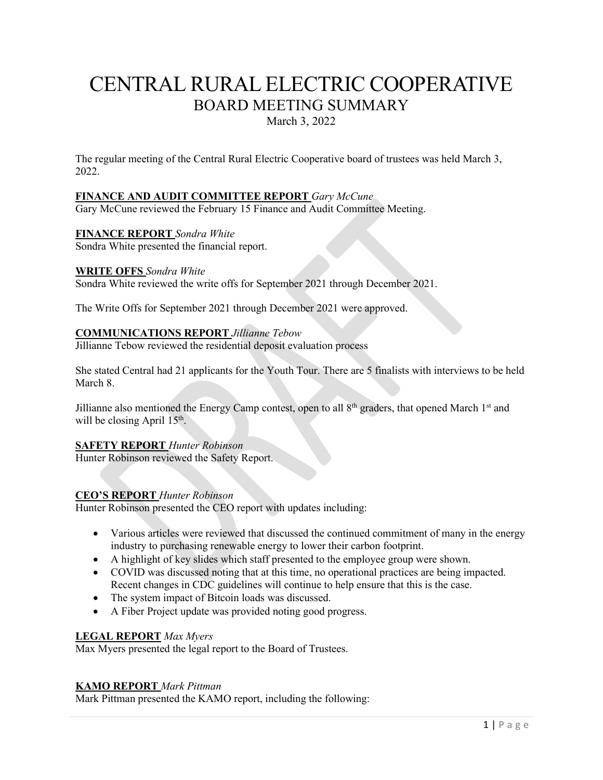# CENTRAL RURAL ELECTRIC COOPERATIVE BOARD MEETING SUMMARY

March 3, 2022

The regular meeting of the Central Rural Electric Cooperative board of trustees was held March 3, 2022.

## **FINANCE AND AUDIT COMMITTEE REPORT** *Gary McCune*

Gary McCune reviewed the February 15 Finance and Audit Committee Meeting.

## **FINANCE REPORT** *Sondra White*

Sondra White presented the financial report.

## **WRITE OFFS** *Sondra White*

Sondra White reviewed the write offs for September 2021 through December 2021.

The Write Offs for September 2021 through December 2021 were approved.

## **COMMUNICATIONS REPORT** *Jillianne Tebow*

Jillianne Tebow reviewed the residential deposit evaluation process

She stated Central had 21 applicants for the Youth Tour. There are 5 finalists with interviews to be held March 8.

Jillianne also mentioned the Energy Camp contest, open to all  $8<sup>th</sup>$  graders, that opened March 1<sup>st</sup> and will be closing April  $15<sup>th</sup>$ .

#### **SAFETY REPORT** *Hunter Robinson*

Hunter Robinson reviewed the Safety Report.

## **CEO'S REPORT** *Hunter Robinson*

Hunter Robinson presented the CEO report with updates including:

- Various articles were reviewed that discussed the continued commitment of many in the energy industry to purchasing renewable energy to lower their carbon footprint.
- A highlight of key slides which staff presented to the employee group were shown.
- COVID was discussed noting that at this time, no operational practices are being impacted. Recent changes in CDC guidelines will continue to help ensure that this is the case.
- The system impact of Bitcoin loads was discussed.
- A Fiber Project update was provided noting good progress.

#### **LEGAL REPORT** *Max Myers*

Max Myers presented the legal report to the Board of Trustees.

#### **KAMO REPORT** *Mark Pittman*

Mark Pittman presented the KAMO report, including the following: